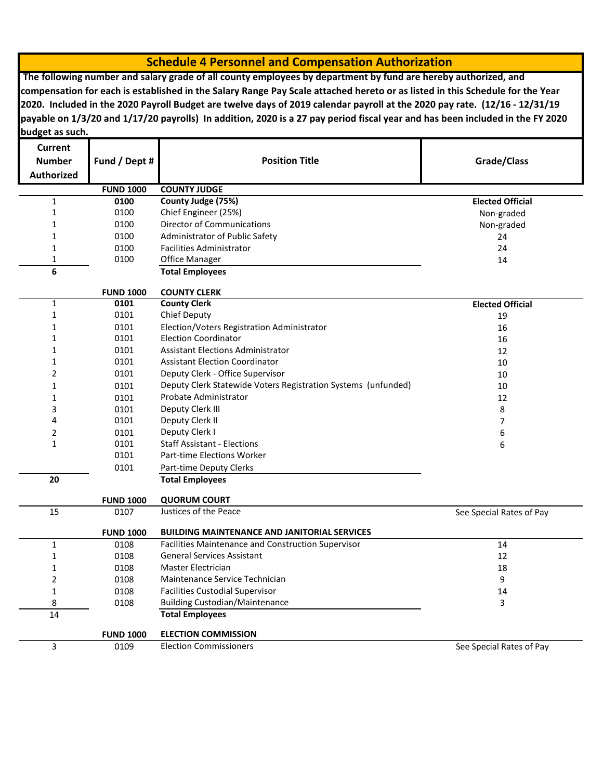## **Schedule 4 Personnel and Compensation Authorization**

 **The following number and salary grade of all county employees by department by fund are hereby authorized, and compensation for each is established in the Salary Range Pay Scale attached hereto or as listed in this Schedule for the Year 2020. Included in the 2020 Payroll Budget are twelve days of 2019 calendar payroll at the 2020 pay rate. (12/16 - 12/31/19 payable on 1/3/20 and 1/17/20 payrolls) In addition, 2020 is a 27 pay period fiscal year and has been included in the FY 2020 budget as such.**

| Current           |                  |                                                               |                          |
|-------------------|------------------|---------------------------------------------------------------|--------------------------|
| <b>Number</b>     | Fund / Dept #    | <b>Position Title</b>                                         | Grade/Class              |
| <b>Authorized</b> |                  |                                                               |                          |
|                   | <b>FUND 1000</b> | <b>COUNTY JUDGE</b>                                           |                          |
| $\mathbf 1$       | 0100             | County Judge (75%)                                            | <b>Elected Official</b>  |
| 1                 | 0100             | Chief Engineer (25%)                                          | Non-graded               |
| 1                 | 0100             | <b>Director of Communications</b>                             | Non-graded               |
| 1                 | 0100             | Administrator of Public Safety                                | 24                       |
| 1                 | 0100             | <b>Facilities Administrator</b>                               | 24                       |
| 1                 | 0100             | Office Manager                                                | 14                       |
| 6                 |                  | <b>Total Employees</b>                                        |                          |
|                   | <b>FUND 1000</b> | <b>COUNTY CLERK</b>                                           |                          |
| 1                 | 0101             | <b>County Clerk</b>                                           | <b>Elected Official</b>  |
| 1                 | 0101             | Chief Deputy                                                  | 19                       |
| 1                 | 0101             | Election/Voters Registration Administrator                    | 16                       |
| 1                 | 0101             | <b>Election Coordinator</b>                                   | 16                       |
| 1                 | 0101             | <b>Assistant Elections Administrator</b>                      | 12                       |
| 1                 | 0101             | <b>Assistant Election Coordinator</b>                         | 10                       |
| 2                 | 0101             | Deputy Clerk - Office Supervisor                              | 10                       |
| 1                 | 0101             | Deputy Clerk Statewide Voters Registration Systems (unfunded) | 10                       |
| 1                 | 0101             | Probate Administrator                                         | 12                       |
| 3                 | 0101             | Deputy Clerk III                                              | 8                        |
| 4                 | 0101             | Deputy Clerk II                                               | 7                        |
| 2                 | 0101             | Deputy Clerk I                                                | 6                        |
| $\mathbf{1}$      | 0101             | <b>Staff Assistant - Elections</b>                            | 6                        |
|                   | 0101             | Part-time Elections Worker                                    |                          |
|                   | 0101             | Part-time Deputy Clerks                                       |                          |
| 20                |                  | <b>Total Employees</b>                                        |                          |
|                   | <b>FUND 1000</b> | <b>QUORUM COURT</b>                                           |                          |
| 15                | 0107             | Justices of the Peace                                         | See Special Rates of Pay |
|                   | <b>FUND 1000</b> | <b>BUILDING MAINTENANCE AND JANITORIAL SERVICES</b>           |                          |
| $\mathbf 1$       | 0108             | Facilities Maintenance and Construction Supervisor            | 14                       |
| 1                 | 0108             | <b>General Services Assistant</b>                             | 12                       |
| 1                 | 0108             | <b>Master Electrician</b>                                     | 18                       |
| 2                 | 0108             | 9<br>Maintenance Service Technician                           |                          |
| 1                 | 0108             | <b>Facilities Custodial Supervisor</b><br>14                  |                          |
| 8                 | 0108             | <b>Building Custodian/Maintenance</b><br>3                    |                          |
| 14                |                  | <b>Total Employees</b>                                        |                          |
|                   | <b>FUND 1000</b> | <b>ELECTION COMMISSION</b>                                    |                          |
| 3                 | 0109             | <b>Election Commissioners</b>                                 | See Special Rates of Pay |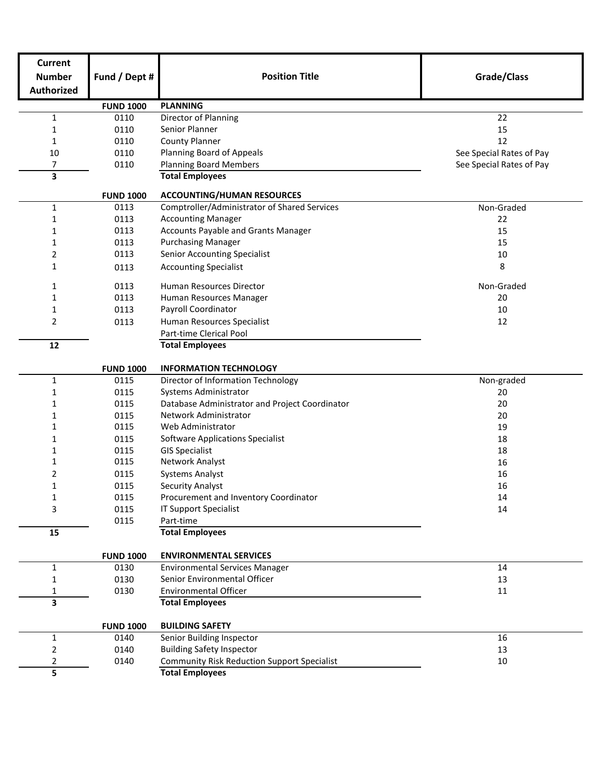| <b>Current</b>    |                  |                                                              |                          |
|-------------------|------------------|--------------------------------------------------------------|--------------------------|
| <b>Number</b>     | Fund / Dept #    | <b>Position Title</b>                                        | Grade/Class              |
| <b>Authorized</b> |                  |                                                              |                          |
|                   | <b>FUND 1000</b> | <b>PLANNING</b>                                              |                          |
| $\mathbf 1$       | 0110             | Director of Planning                                         | 22                       |
| 1                 | 0110             | Senior Planner                                               | 15                       |
| $\mathbf{1}$      | 0110             | <b>County Planner</b>                                        | 12                       |
| 10                | 0110             | Planning Board of Appeals                                    | See Special Rates of Pay |
| $\overline{7}$    | 0110             | <b>Planning Board Members</b>                                | See Special Rates of Pay |
| 3                 |                  | <b>Total Employees</b>                                       |                          |
|                   | <b>FUND 1000</b> | <b>ACCOUNTING/HUMAN RESOURCES</b>                            |                          |
| 1                 | 0113             | Comptroller/Administrator of Shared Services                 | Non-Graded               |
| 1                 | 0113             | <b>Accounting Manager</b>                                    | 22                       |
| 1                 | 0113             | Accounts Payable and Grants Manager                          | 15                       |
| 1                 | 0113             | <b>Purchasing Manager</b>                                    | 15                       |
| 2                 | 0113             | <b>Senior Accounting Specialist</b>                          | 10                       |
| 1                 | 0113             | <b>Accounting Specialist</b>                                 | 8                        |
| 1                 | 0113             | Human Resources Director                                     | Non-Graded               |
| $\mathbf{1}$      | 0113             | Human Resources Manager                                      | 20                       |
| 1                 | 0113             | Payroll Coordinator                                          | 10                       |
| 2                 | 0113             | Human Resources Specialist                                   | 12                       |
|                   |                  | Part-time Clerical Pool                                      |                          |
| 12                |                  | <b>Total Employees</b>                                       |                          |
|                   |                  |                                                              |                          |
|                   | <b>FUND 1000</b> | <b>INFORMATION TECHNOLOGY</b>                                |                          |
| $\mathbf{1}$      | 0115             | Director of Information Technology                           | Non-graded               |
| 1                 | 0115             | Systems Administrator                                        | 20                       |
| 1                 | 0115             | Database Administrator and Project Coordinator               | 20                       |
| 1                 | 0115             | Network Administrator                                        | 20                       |
| 1                 | 0115             | Web Administrator                                            | 19                       |
| 1                 | 0115             | <b>Software Applications Specialist</b>                      | 18                       |
| 1                 | 0115             | <b>GIS Specialist</b>                                        | 18                       |
| 1                 | 0115             | Network Analyst                                              | 16                       |
| 2                 | 0115             | <b>Systems Analyst</b>                                       | 16                       |
| 1                 | 0115             | <b>Security Analyst</b>                                      | 16                       |
| 1                 | 0115             | Procurement and Inventory Coordinator                        | 14                       |
| 3                 | 0115             | <b>IT Support Specialist</b>                                 | 14                       |
|                   | 0115             | Part-time                                                    |                          |
| 15                |                  | <b>Total Employees</b>                                       |                          |
|                   | <b>FUND 1000</b> | <b>ENVIRONMENTAL SERVICES</b>                                |                          |
| $\mathbf{1}$      | 0130             | <b>Environmental Services Manager</b>                        | 14                       |
| 1                 | 0130             | Senior Environmental Officer                                 | 13                       |
| 1                 | 0130             | <b>Environmental Officer</b>                                 | 11                       |
| 3                 |                  | <b>Total Employees</b>                                       |                          |
|                   | <b>FUND 1000</b> | <b>BUILDING SAFETY</b>                                       |                          |
| $\mathbf{1}$      | 0140             | Senior Building Inspector                                    | 16                       |
| 2                 | 0140             | <b>Building Safety Inspector</b>                             | 13                       |
| 2                 | 0140             | <b>Community Risk Reduction Support Specialist</b><br>$10\,$ |                          |
| 5                 |                  | <b>Total Employees</b>                                       |                          |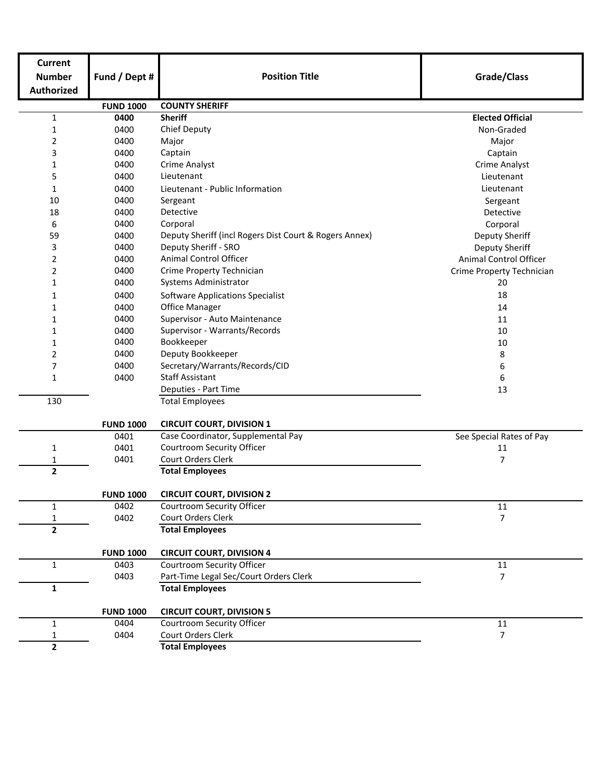| <b>Current</b>    |                  |                                                        |                           |  |  |
|-------------------|------------------|--------------------------------------------------------|---------------------------|--|--|
| <b>Number</b>     | Fund / Dept #    | <b>Position Title</b>                                  | Grade/Class               |  |  |
| <b>Authorized</b> |                  |                                                        |                           |  |  |
|                   | <b>FUND 1000</b> | <b>COUNTY SHERIFF</b>                                  |                           |  |  |
| $\mathbf{1}$      | 0400             | <b>Sheriff</b>                                         | <b>Elected Official</b>   |  |  |
| 1                 | 0400             | Chief Deputy                                           | Non-Graded                |  |  |
| 2                 | 0400             | Major                                                  | Major                     |  |  |
| 3                 | 0400             | Captain                                                | Captain                   |  |  |
| 1                 | 0400             | <b>Crime Analyst</b>                                   | Crime Analyst             |  |  |
| 5                 | 0400             | Lieutenant                                             | Lieutenant                |  |  |
| 1                 | 0400             | Lieutenant - Public Information                        | Lieutenant                |  |  |
| 10                | 0400             | Sergeant                                               | Sergeant                  |  |  |
| 18                | 0400             | Detective                                              | Detective                 |  |  |
| 6                 | 0400             | Corporal                                               | Corporal                  |  |  |
| 59                | 0400             | Deputy Sheriff (incl Rogers Dist Court & Rogers Annex) | Deputy Sheriff            |  |  |
| 3                 | 0400             | Deputy Sheriff - SRO                                   | <b>Deputy Sheriff</b>     |  |  |
| 2                 | 0400             | Animal Control Officer                                 | Animal Control Officer    |  |  |
| 2                 | 0400             | Crime Property Technician                              | Crime Property Technician |  |  |
| 1                 | 0400             | Systems Administrator                                  | 20                        |  |  |
| 1                 | 0400             | <b>Software Applications Specialist</b>                | 18                        |  |  |
| 1                 | 0400             | <b>Office Manager</b>                                  | 14                        |  |  |
| 1                 | 0400             | Supervisor - Auto Maintenance                          | 11                        |  |  |
| 1                 | 0400             | Supervisor - Warrants/Records                          | 10                        |  |  |
| 1                 | 0400             | Bookkeeper                                             | 10                        |  |  |
| 2                 | 0400             | Deputy Bookkeeper                                      | 8                         |  |  |
| 7                 | 0400             | Secretary/Warrants/Records/CID                         | 6                         |  |  |
| 1                 | 0400             | <b>Staff Assistant</b>                                 | 6                         |  |  |
|                   |                  | Deputies - Part Time                                   | 13                        |  |  |
| 130               |                  | <b>Total Employees</b>                                 |                           |  |  |
|                   |                  |                                                        |                           |  |  |
|                   | <b>FUND 1000</b> | <b>CIRCUIT COURT, DIVISION 1</b>                       |                           |  |  |
|                   | 0401             | Case Coordinator, Supplemental Pay                     | See Special Rates of Pay  |  |  |
| 1                 | 0401             | <b>Courtroom Security Officer</b>                      | 11                        |  |  |
| 1                 | 0401             | Court Orders Clerk                                     | 7                         |  |  |
| $\overline{2}$    |                  | <b>Total Employees</b>                                 |                           |  |  |
|                   | <b>FUND 1000</b> | <b>CIRCUIT COURT, DIVISION 2</b>                       |                           |  |  |
| $\mathbf{1}$      | 0402             | <b>Courtroom Security Officer</b><br>11                |                           |  |  |
| 1                 | 0402             | Court Orders Clerk                                     | 7                         |  |  |
| $\overline{2}$    |                  | <b>Total Employees</b>                                 |                           |  |  |
|                   |                  |                                                        |                           |  |  |
|                   | <b>FUND 1000</b> | <b>CIRCUIT COURT, DIVISION 4</b>                       |                           |  |  |
| $\mathbf{1}$      | 0403             | Courtroom Security Officer                             | 11                        |  |  |
|                   | 0403             | Part-Time Legal Sec/Court Orders Clerk                 | 7                         |  |  |
| $\mathbf{1}$      |                  | <b>Total Employees</b>                                 |                           |  |  |
|                   | <b>FUND 1000</b> | <b>CIRCUIT COURT, DIVISION 5</b>                       |                           |  |  |
| $\mathbf{1}$      | 0404             | Courtroom Security Officer                             | $11\,$                    |  |  |
| 1                 | 0404             | Court Orders Clerk                                     | 7                         |  |  |
| $\overline{2}$    |                  | <b>Total Employees</b>                                 |                           |  |  |
|                   |                  |                                                        |                           |  |  |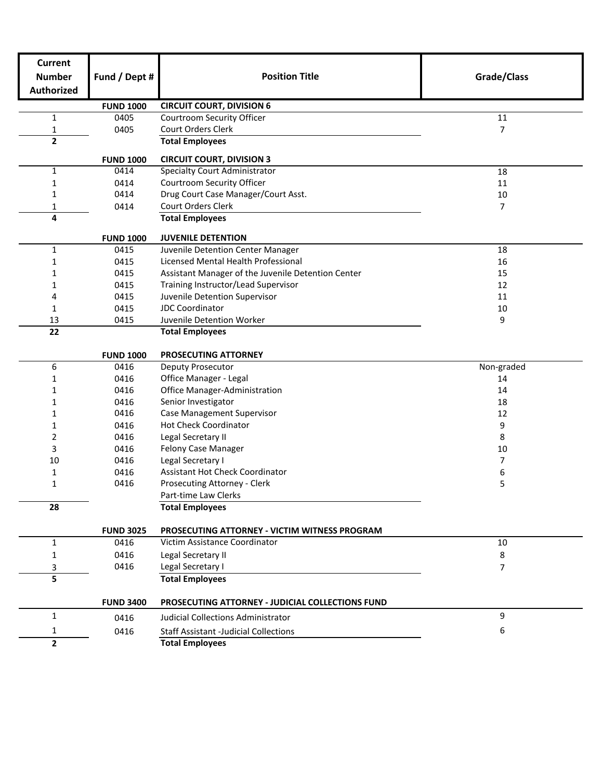| <b>Current</b><br><b>Number</b> | Fund / Dept #    | <b>Position Title</b>                              | Grade/Class |
|---------------------------------|------------------|----------------------------------------------------|-------------|
| <b>Authorized</b>               |                  |                                                    |             |
|                                 |                  |                                                    |             |
|                                 | <b>FUND 1000</b> | <b>CIRCUIT COURT, DIVISION 6</b>                   |             |
| $\mathbf{1}$                    | 0405             | <b>Courtroom Security Officer</b>                  | $11\,$      |
| 1                               | 0405             | Court Orders Clerk                                 | 7           |
| $\overline{2}$                  |                  | <b>Total Employees</b>                             |             |
|                                 | <b>FUND 1000</b> | <b>CIRCUIT COURT, DIVISION 3</b>                   |             |
| $\mathbf{1}$                    | 0414             | <b>Specialty Court Administrator</b>               | 18          |
| 1                               | 0414             | <b>Courtroom Security Officer</b>                  | 11          |
| 1                               | 0414             | Drug Court Case Manager/Court Asst.                | 10          |
| 1                               | 0414             | <b>Court Orders Clerk</b>                          | 7           |
| 4                               |                  | <b>Total Employees</b>                             |             |
|                                 | <b>FUND 1000</b> | <b>JUVENILE DETENTION</b>                          |             |
| $\mathbf{1}$                    | 0415             | Juvenile Detention Center Manager                  | 18          |
| 1                               | 0415             | Licensed Mental Health Professional                | 16          |
| 1                               | 0415             | Assistant Manager of the Juvenile Detention Center | 15          |
| 1                               | 0415             | Training Instructor/Lead Supervisor                | 12          |
| 4                               | 0415             | Juvenile Detention Supervisor                      | 11          |
| 1                               | 0415             | <b>JDC Coordinator</b>                             | 10          |
| 13                              | 0415             | Juvenile Detention Worker                          | 9           |
| 22                              |                  | <b>Total Employees</b>                             |             |
|                                 | <b>FUND 1000</b> | PROSECUTING ATTORNEY                               |             |
| 6                               | 0416             | Deputy Prosecutor                                  | Non-graded  |
| 1                               | 0416             | Office Manager - Legal                             | 14          |
| 1                               | 0416             | Office Manager-Administration                      | 14          |
| 1                               | 0416             | Senior Investigator                                | 18          |
| 1                               | 0416             | Case Management Supervisor                         | 12          |
| 1                               | 0416             | <b>Hot Check Coordinator</b>                       | 9           |
| 2                               | 0416             | Legal Secretary II                                 | 8           |
| 3                               | 0416             | Felony Case Manager                                | 10          |
| 10                              | 0416             | Legal Secretary I                                  | 7           |
| 1                               | 0416             | <b>Assistant Hot Check Coordinator</b>             | 6           |
| 1                               | 0416             | Prosecuting Attorney - Clerk                       | 5           |
|                                 |                  | Part-time Law Clerks                               |             |
| 28                              |                  | <b>Total Employees</b>                             |             |
|                                 | <b>FUND 3025</b> | PROSECUTING ATTORNEY - VICTIM WITNESS PROGRAM      |             |
| $\mathbf{1}$                    | 0416             | Victim Assistance Coordinator                      | 10          |
| 1                               | 0416             | Legal Secretary II                                 | 8           |
| 3                               | 0416             | Legal Secretary I                                  | 7           |
| 5                               |                  | <b>Total Employees</b>                             |             |
|                                 | <b>FUND 3400</b> |                                                    |             |
| $\mathbf{1}$                    |                  | PROSECUTING ATTORNEY - JUDICIAL COLLECTIONS FUND   | 9           |
|                                 | 0416             | Judicial Collections Administrator                 |             |
| 1                               | 0416             | <b>Staff Assistant -Judicial Collections</b>       | 6           |
| $\mathbf{2}$                    |                  | <b>Total Employees</b>                             |             |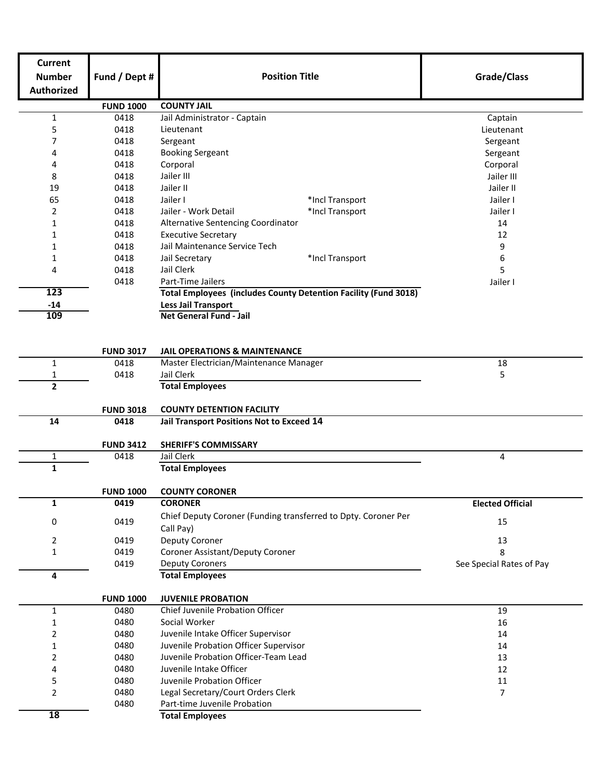| Current<br><b>Number</b><br><b>Authorized</b> | Fund / Dept #    | <b>Position Title</b>                                                  | Grade/Class              |  |  |  |
|-----------------------------------------------|------------------|------------------------------------------------------------------------|--------------------------|--|--|--|
|                                               | <b>FUND 1000</b> | <b>COUNTY JAIL</b>                                                     |                          |  |  |  |
| $\mathbf{1}$                                  | 0418             | Jail Administrator - Captain                                           | Captain                  |  |  |  |
| 5                                             | 0418             | Lieutenant                                                             | Lieutenant               |  |  |  |
| 7                                             | 0418             | Sergeant                                                               | Sergeant                 |  |  |  |
| 4                                             | 0418             | <b>Booking Sergeant</b>                                                | Sergeant                 |  |  |  |
| 4                                             | 0418             | Corporal                                                               | Corporal                 |  |  |  |
| 8                                             | 0418             | Jailer III                                                             | Jailer III               |  |  |  |
| 19                                            | 0418             | Jailer II                                                              | Jailer II                |  |  |  |
| 65                                            | 0418             | Jailer I<br>*Incl Transport                                            | Jailer I                 |  |  |  |
| 2                                             | 0418             | Jailer - Work Detail<br>*Incl Transport                                | Jailer I                 |  |  |  |
| 1                                             | 0418             | Alternative Sentencing Coordinator                                     | 14                       |  |  |  |
| 1                                             | 0418             | <b>Executive Secretary</b>                                             | 12                       |  |  |  |
| 1                                             | 0418             | Jail Maintenance Service Tech                                          | 9                        |  |  |  |
| 1                                             | 0418             | Jail Secretary<br>*Incl Transport                                      | 6                        |  |  |  |
| 4                                             | 0418             | Jail Clerk                                                             | 5                        |  |  |  |
|                                               | 0418             | Part-Time Jailers                                                      | Jailer I                 |  |  |  |
| 123                                           |                  | <b>Total Employees (includes County Detention Facility (Fund 3018)</b> |                          |  |  |  |
| $-14$                                         |                  | <b>Less Jail Transport</b>                                             |                          |  |  |  |
| 109                                           |                  | Net General Fund - Jail                                                |                          |  |  |  |
|                                               |                  |                                                                        |                          |  |  |  |
|                                               | <b>FUND 3017</b> | <b>JAIL OPERATIONS &amp; MAINTENANCE</b>                               |                          |  |  |  |
| $\mathbf{1}$                                  | 0418             | Master Electrician/Maintenance Manager                                 | 18                       |  |  |  |
| 1                                             | 0418             | Jail Clerk<br>5                                                        |                          |  |  |  |
| $\overline{2}$                                |                  | <b>Total Employees</b>                                                 |                          |  |  |  |
|                                               | <b>FUND 3018</b> | <b>COUNTY DETENTION FACILITY</b>                                       |                          |  |  |  |
| 14                                            | 0418             | Jail Transport Positions Not to Exceed 14                              |                          |  |  |  |
|                                               | <b>FUND 3412</b> | <b>SHERIFF'S COMMISSARY</b>                                            |                          |  |  |  |
| $\mathbf 1$                                   | 0418             | Jail Clerk                                                             | 4                        |  |  |  |
| $\mathbf{1}$                                  |                  | <b>Total Employees</b>                                                 |                          |  |  |  |
|                                               | <b>FUND 1000</b> | <b>COUNTY CORONER</b>                                                  |                          |  |  |  |
| $\mathbf{1}$                                  | 0419             | <b>CORONER</b>                                                         | <b>Elected Official</b>  |  |  |  |
|                                               |                  | Chief Deputy Coroner (Funding transferred to Dpty. Coroner Per         |                          |  |  |  |
| 0                                             | 0419             | Call Pay)                                                              | 15                       |  |  |  |
| 2                                             | 0419             | Deputy Coroner                                                         | 13                       |  |  |  |
| $\mathbf{1}$                                  | 0419             | Coroner Assistant/Deputy Coroner                                       | 8                        |  |  |  |
|                                               | 0419             | <b>Deputy Coroners</b>                                                 | See Special Rates of Pay |  |  |  |
| 4                                             |                  | <b>Total Employees</b>                                                 |                          |  |  |  |
|                                               | <b>FUND 1000</b> | <b>JUVENILE PROBATION</b>                                              |                          |  |  |  |
| $\mathbf{1}$                                  | 0480             | Chief Juvenile Probation Officer                                       | 19                       |  |  |  |
| 1                                             | 0480             | Social Worker                                                          | 16                       |  |  |  |
| 2                                             | 0480             | Juvenile Intake Officer Supervisor                                     | 14                       |  |  |  |
| 1                                             | 0480             | Juvenile Probation Officer Supervisor                                  | 14                       |  |  |  |
| 2                                             | 0480             | Juvenile Probation Officer-Team Lead                                   | 13                       |  |  |  |
| 4                                             | 0480             | Juvenile Intake Officer                                                | 12                       |  |  |  |
| 5                                             | 0480             | Juvenile Probation Officer                                             | 11                       |  |  |  |
| 2                                             | 0480             | Legal Secretary/Court Orders Clerk                                     | $\overline{7}$           |  |  |  |
|                                               | 0480             | Part-time Juvenile Probation                                           |                          |  |  |  |
| 18                                            |                  | <b>Total Employees</b>                                                 |                          |  |  |  |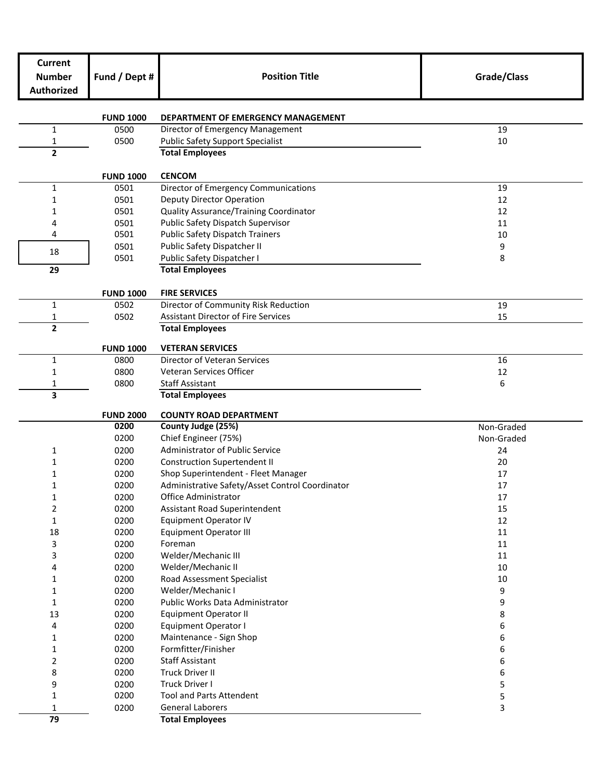| <b>Position Title</b><br>Fund / Dept #<br>Grade/Class<br><b>Number</b><br><b>Authorized</b><br><b>FUND 1000</b><br><b>DEPARTMENT OF EMERGENCY MANAGEMENT</b><br>Director of Emergency Management<br>19<br>$\mathbf{1}$<br>0500<br>0500<br><b>Public Safety Support Specialist</b><br>10<br>1<br>$\mathbf{2}$<br><b>Total Employees</b><br><b>CENCOM</b><br><b>FUND 1000</b><br>Director of Emergency Communications<br>$\mathbf{1}$<br>0501<br>19<br>Deputy Director Operation<br>0501<br>12<br>1<br>Quality Assurance/Training Coordinator<br>0501<br>12<br>1<br>Public Safety Dispatch Supervisor<br>0501<br>11<br>4<br>0501<br><b>Public Safety Dispatch Trainers</b><br>4<br>10<br>0501<br>Public Safety Dispatcher II<br>9<br>18<br>0501<br>Public Safety Dispatcher I<br>8<br>29<br><b>Total Employees</b><br><b>FIRE SERVICES</b><br><b>FUND 1000</b><br>Director of Community Risk Reduction<br>$\mathbf{1}$<br>0502<br>19<br>0502<br><b>Assistant Director of Fire Services</b><br>15<br>1<br>$\overline{2}$<br><b>Total Employees</b><br><b>VETERAN SERVICES</b><br><b>FUND 1000</b><br>Director of Veteran Services<br>$\mathbf{1}$<br>16<br>0800<br>0800<br>Veteran Services Officer<br>1<br>12<br>0800<br><b>Staff Assistant</b><br>6<br>1<br>3<br><b>Total Employees</b><br><b>FUND 2000</b><br><b>COUNTY ROAD DEPARTMENT</b><br>0200<br>County Judge (25%)<br>Non-Graded<br>0200<br>Chief Engineer (75%)<br>Non-Graded<br>Administrator of Public Service<br>0200<br>24<br>1<br><b>Construction Supertendent II</b><br>0200<br>20<br>1<br>0200<br>Shop Superintendent - Fleet Manager<br>17<br>1<br>0200<br>Administrative Safety/Asset Control Coordinator<br>17<br>1<br>0200<br>Office Administrator<br>$17\,$<br>1<br>2<br>0200<br>Assistant Road Superintendent<br>15<br><b>Equipment Operator IV</b><br>12<br>$\mathbf 1$<br>0200<br><b>Equipment Operator III</b><br>$11\,$<br>18<br>0200<br>3<br>0200<br>Foreman<br>11<br>Welder/Mechanic III<br>3<br>0200<br>11<br>Welder/Mechanic II<br>0200<br>10<br>4<br>0200<br>Road Assessment Specialist<br>$10\,$<br>1<br>0200<br>Welder/Mechanic I<br>9<br>1<br>0200<br>9<br>Public Works Data Administrator<br>1<br>0200<br><b>Equipment Operator II</b><br>8<br>13<br>0200<br>4<br><b>Equipment Operator I</b><br>6<br>0200<br>Maintenance - Sign Shop<br>6<br>1<br>Formfitter/Finisher<br>0200<br>6<br>1<br><b>Staff Assistant</b><br>2<br>0200<br>6<br><b>Truck Driver II</b><br>6<br>8<br>0200<br>Truck Driver I<br>5<br>9<br>0200<br>0200<br><b>Tool and Parts Attendent</b><br>5<br>1<br>0200<br><b>General Laborers</b><br>3<br>1<br>79<br><b>Total Employees</b> | <b>Current</b> |  |  |
|------------------------------------------------------------------------------------------------------------------------------------------------------------------------------------------------------------------------------------------------------------------------------------------------------------------------------------------------------------------------------------------------------------------------------------------------------------------------------------------------------------------------------------------------------------------------------------------------------------------------------------------------------------------------------------------------------------------------------------------------------------------------------------------------------------------------------------------------------------------------------------------------------------------------------------------------------------------------------------------------------------------------------------------------------------------------------------------------------------------------------------------------------------------------------------------------------------------------------------------------------------------------------------------------------------------------------------------------------------------------------------------------------------------------------------------------------------------------------------------------------------------------------------------------------------------------------------------------------------------------------------------------------------------------------------------------------------------------------------------------------------------------------------------------------------------------------------------------------------------------------------------------------------------------------------------------------------------------------------------------------------------------------------------------------------------------------------------------------------------------------------------------------------------------------------------------------------------------------------------------------------------------------------------------------------------------------------------------------------------------------------------------------------------------------------------------------------------------------------------------------------------------------------------------------------------------------------------------------------------------------------------|----------------|--|--|
|                                                                                                                                                                                                                                                                                                                                                                                                                                                                                                                                                                                                                                                                                                                                                                                                                                                                                                                                                                                                                                                                                                                                                                                                                                                                                                                                                                                                                                                                                                                                                                                                                                                                                                                                                                                                                                                                                                                                                                                                                                                                                                                                                                                                                                                                                                                                                                                                                                                                                                                                                                                                                                          |                |  |  |
|                                                                                                                                                                                                                                                                                                                                                                                                                                                                                                                                                                                                                                                                                                                                                                                                                                                                                                                                                                                                                                                                                                                                                                                                                                                                                                                                                                                                                                                                                                                                                                                                                                                                                                                                                                                                                                                                                                                                                                                                                                                                                                                                                                                                                                                                                                                                                                                                                                                                                                                                                                                                                                          |                |  |  |
|                                                                                                                                                                                                                                                                                                                                                                                                                                                                                                                                                                                                                                                                                                                                                                                                                                                                                                                                                                                                                                                                                                                                                                                                                                                                                                                                                                                                                                                                                                                                                                                                                                                                                                                                                                                                                                                                                                                                                                                                                                                                                                                                                                                                                                                                                                                                                                                                                                                                                                                                                                                                                                          |                |  |  |
|                                                                                                                                                                                                                                                                                                                                                                                                                                                                                                                                                                                                                                                                                                                                                                                                                                                                                                                                                                                                                                                                                                                                                                                                                                                                                                                                                                                                                                                                                                                                                                                                                                                                                                                                                                                                                                                                                                                                                                                                                                                                                                                                                                                                                                                                                                                                                                                                                                                                                                                                                                                                                                          |                |  |  |
|                                                                                                                                                                                                                                                                                                                                                                                                                                                                                                                                                                                                                                                                                                                                                                                                                                                                                                                                                                                                                                                                                                                                                                                                                                                                                                                                                                                                                                                                                                                                                                                                                                                                                                                                                                                                                                                                                                                                                                                                                                                                                                                                                                                                                                                                                                                                                                                                                                                                                                                                                                                                                                          |                |  |  |
|                                                                                                                                                                                                                                                                                                                                                                                                                                                                                                                                                                                                                                                                                                                                                                                                                                                                                                                                                                                                                                                                                                                                                                                                                                                                                                                                                                                                                                                                                                                                                                                                                                                                                                                                                                                                                                                                                                                                                                                                                                                                                                                                                                                                                                                                                                                                                                                                                                                                                                                                                                                                                                          |                |  |  |
|                                                                                                                                                                                                                                                                                                                                                                                                                                                                                                                                                                                                                                                                                                                                                                                                                                                                                                                                                                                                                                                                                                                                                                                                                                                                                                                                                                                                                                                                                                                                                                                                                                                                                                                                                                                                                                                                                                                                                                                                                                                                                                                                                                                                                                                                                                                                                                                                                                                                                                                                                                                                                                          |                |  |  |
|                                                                                                                                                                                                                                                                                                                                                                                                                                                                                                                                                                                                                                                                                                                                                                                                                                                                                                                                                                                                                                                                                                                                                                                                                                                                                                                                                                                                                                                                                                                                                                                                                                                                                                                                                                                                                                                                                                                                                                                                                                                                                                                                                                                                                                                                                                                                                                                                                                                                                                                                                                                                                                          |                |  |  |
|                                                                                                                                                                                                                                                                                                                                                                                                                                                                                                                                                                                                                                                                                                                                                                                                                                                                                                                                                                                                                                                                                                                                                                                                                                                                                                                                                                                                                                                                                                                                                                                                                                                                                                                                                                                                                                                                                                                                                                                                                                                                                                                                                                                                                                                                                                                                                                                                                                                                                                                                                                                                                                          |                |  |  |
|                                                                                                                                                                                                                                                                                                                                                                                                                                                                                                                                                                                                                                                                                                                                                                                                                                                                                                                                                                                                                                                                                                                                                                                                                                                                                                                                                                                                                                                                                                                                                                                                                                                                                                                                                                                                                                                                                                                                                                                                                                                                                                                                                                                                                                                                                                                                                                                                                                                                                                                                                                                                                                          |                |  |  |
|                                                                                                                                                                                                                                                                                                                                                                                                                                                                                                                                                                                                                                                                                                                                                                                                                                                                                                                                                                                                                                                                                                                                                                                                                                                                                                                                                                                                                                                                                                                                                                                                                                                                                                                                                                                                                                                                                                                                                                                                                                                                                                                                                                                                                                                                                                                                                                                                                                                                                                                                                                                                                                          |                |  |  |
|                                                                                                                                                                                                                                                                                                                                                                                                                                                                                                                                                                                                                                                                                                                                                                                                                                                                                                                                                                                                                                                                                                                                                                                                                                                                                                                                                                                                                                                                                                                                                                                                                                                                                                                                                                                                                                                                                                                                                                                                                                                                                                                                                                                                                                                                                                                                                                                                                                                                                                                                                                                                                                          |                |  |  |
|                                                                                                                                                                                                                                                                                                                                                                                                                                                                                                                                                                                                                                                                                                                                                                                                                                                                                                                                                                                                                                                                                                                                                                                                                                                                                                                                                                                                                                                                                                                                                                                                                                                                                                                                                                                                                                                                                                                                                                                                                                                                                                                                                                                                                                                                                                                                                                                                                                                                                                                                                                                                                                          |                |  |  |
|                                                                                                                                                                                                                                                                                                                                                                                                                                                                                                                                                                                                                                                                                                                                                                                                                                                                                                                                                                                                                                                                                                                                                                                                                                                                                                                                                                                                                                                                                                                                                                                                                                                                                                                                                                                                                                                                                                                                                                                                                                                                                                                                                                                                                                                                                                                                                                                                                                                                                                                                                                                                                                          |                |  |  |
|                                                                                                                                                                                                                                                                                                                                                                                                                                                                                                                                                                                                                                                                                                                                                                                                                                                                                                                                                                                                                                                                                                                                                                                                                                                                                                                                                                                                                                                                                                                                                                                                                                                                                                                                                                                                                                                                                                                                                                                                                                                                                                                                                                                                                                                                                                                                                                                                                                                                                                                                                                                                                                          |                |  |  |
|                                                                                                                                                                                                                                                                                                                                                                                                                                                                                                                                                                                                                                                                                                                                                                                                                                                                                                                                                                                                                                                                                                                                                                                                                                                                                                                                                                                                                                                                                                                                                                                                                                                                                                                                                                                                                                                                                                                                                                                                                                                                                                                                                                                                                                                                                                                                                                                                                                                                                                                                                                                                                                          |                |  |  |
|                                                                                                                                                                                                                                                                                                                                                                                                                                                                                                                                                                                                                                                                                                                                                                                                                                                                                                                                                                                                                                                                                                                                                                                                                                                                                                                                                                                                                                                                                                                                                                                                                                                                                                                                                                                                                                                                                                                                                                                                                                                                                                                                                                                                                                                                                                                                                                                                                                                                                                                                                                                                                                          |                |  |  |
|                                                                                                                                                                                                                                                                                                                                                                                                                                                                                                                                                                                                                                                                                                                                                                                                                                                                                                                                                                                                                                                                                                                                                                                                                                                                                                                                                                                                                                                                                                                                                                                                                                                                                                                                                                                                                                                                                                                                                                                                                                                                                                                                                                                                                                                                                                                                                                                                                                                                                                                                                                                                                                          |                |  |  |
|                                                                                                                                                                                                                                                                                                                                                                                                                                                                                                                                                                                                                                                                                                                                                                                                                                                                                                                                                                                                                                                                                                                                                                                                                                                                                                                                                                                                                                                                                                                                                                                                                                                                                                                                                                                                                                                                                                                                                                                                                                                                                                                                                                                                                                                                                                                                                                                                                                                                                                                                                                                                                                          |                |  |  |
|                                                                                                                                                                                                                                                                                                                                                                                                                                                                                                                                                                                                                                                                                                                                                                                                                                                                                                                                                                                                                                                                                                                                                                                                                                                                                                                                                                                                                                                                                                                                                                                                                                                                                                                                                                                                                                                                                                                                                                                                                                                                                                                                                                                                                                                                                                                                                                                                                                                                                                                                                                                                                                          |                |  |  |
|                                                                                                                                                                                                                                                                                                                                                                                                                                                                                                                                                                                                                                                                                                                                                                                                                                                                                                                                                                                                                                                                                                                                                                                                                                                                                                                                                                                                                                                                                                                                                                                                                                                                                                                                                                                                                                                                                                                                                                                                                                                                                                                                                                                                                                                                                                                                                                                                                                                                                                                                                                                                                                          |                |  |  |
|                                                                                                                                                                                                                                                                                                                                                                                                                                                                                                                                                                                                                                                                                                                                                                                                                                                                                                                                                                                                                                                                                                                                                                                                                                                                                                                                                                                                                                                                                                                                                                                                                                                                                                                                                                                                                                                                                                                                                                                                                                                                                                                                                                                                                                                                                                                                                                                                                                                                                                                                                                                                                                          |                |  |  |
|                                                                                                                                                                                                                                                                                                                                                                                                                                                                                                                                                                                                                                                                                                                                                                                                                                                                                                                                                                                                                                                                                                                                                                                                                                                                                                                                                                                                                                                                                                                                                                                                                                                                                                                                                                                                                                                                                                                                                                                                                                                                                                                                                                                                                                                                                                                                                                                                                                                                                                                                                                                                                                          |                |  |  |
|                                                                                                                                                                                                                                                                                                                                                                                                                                                                                                                                                                                                                                                                                                                                                                                                                                                                                                                                                                                                                                                                                                                                                                                                                                                                                                                                                                                                                                                                                                                                                                                                                                                                                                                                                                                                                                                                                                                                                                                                                                                                                                                                                                                                                                                                                                                                                                                                                                                                                                                                                                                                                                          |                |  |  |
|                                                                                                                                                                                                                                                                                                                                                                                                                                                                                                                                                                                                                                                                                                                                                                                                                                                                                                                                                                                                                                                                                                                                                                                                                                                                                                                                                                                                                                                                                                                                                                                                                                                                                                                                                                                                                                                                                                                                                                                                                                                                                                                                                                                                                                                                                                                                                                                                                                                                                                                                                                                                                                          |                |  |  |
|                                                                                                                                                                                                                                                                                                                                                                                                                                                                                                                                                                                                                                                                                                                                                                                                                                                                                                                                                                                                                                                                                                                                                                                                                                                                                                                                                                                                                                                                                                                                                                                                                                                                                                                                                                                                                                                                                                                                                                                                                                                                                                                                                                                                                                                                                                                                                                                                                                                                                                                                                                                                                                          |                |  |  |
|                                                                                                                                                                                                                                                                                                                                                                                                                                                                                                                                                                                                                                                                                                                                                                                                                                                                                                                                                                                                                                                                                                                                                                                                                                                                                                                                                                                                                                                                                                                                                                                                                                                                                                                                                                                                                                                                                                                                                                                                                                                                                                                                                                                                                                                                                                                                                                                                                                                                                                                                                                                                                                          |                |  |  |
|                                                                                                                                                                                                                                                                                                                                                                                                                                                                                                                                                                                                                                                                                                                                                                                                                                                                                                                                                                                                                                                                                                                                                                                                                                                                                                                                                                                                                                                                                                                                                                                                                                                                                                                                                                                                                                                                                                                                                                                                                                                                                                                                                                                                                                                                                                                                                                                                                                                                                                                                                                                                                                          |                |  |  |
|                                                                                                                                                                                                                                                                                                                                                                                                                                                                                                                                                                                                                                                                                                                                                                                                                                                                                                                                                                                                                                                                                                                                                                                                                                                                                                                                                                                                                                                                                                                                                                                                                                                                                                                                                                                                                                                                                                                                                                                                                                                                                                                                                                                                                                                                                                                                                                                                                                                                                                                                                                                                                                          |                |  |  |
|                                                                                                                                                                                                                                                                                                                                                                                                                                                                                                                                                                                                                                                                                                                                                                                                                                                                                                                                                                                                                                                                                                                                                                                                                                                                                                                                                                                                                                                                                                                                                                                                                                                                                                                                                                                                                                                                                                                                                                                                                                                                                                                                                                                                                                                                                                                                                                                                                                                                                                                                                                                                                                          |                |  |  |
|                                                                                                                                                                                                                                                                                                                                                                                                                                                                                                                                                                                                                                                                                                                                                                                                                                                                                                                                                                                                                                                                                                                                                                                                                                                                                                                                                                                                                                                                                                                                                                                                                                                                                                                                                                                                                                                                                                                                                                                                                                                                                                                                                                                                                                                                                                                                                                                                                                                                                                                                                                                                                                          |                |  |  |
|                                                                                                                                                                                                                                                                                                                                                                                                                                                                                                                                                                                                                                                                                                                                                                                                                                                                                                                                                                                                                                                                                                                                                                                                                                                                                                                                                                                                                                                                                                                                                                                                                                                                                                                                                                                                                                                                                                                                                                                                                                                                                                                                                                                                                                                                                                                                                                                                                                                                                                                                                                                                                                          |                |  |  |
|                                                                                                                                                                                                                                                                                                                                                                                                                                                                                                                                                                                                                                                                                                                                                                                                                                                                                                                                                                                                                                                                                                                                                                                                                                                                                                                                                                                                                                                                                                                                                                                                                                                                                                                                                                                                                                                                                                                                                                                                                                                                                                                                                                                                                                                                                                                                                                                                                                                                                                                                                                                                                                          |                |  |  |
|                                                                                                                                                                                                                                                                                                                                                                                                                                                                                                                                                                                                                                                                                                                                                                                                                                                                                                                                                                                                                                                                                                                                                                                                                                                                                                                                                                                                                                                                                                                                                                                                                                                                                                                                                                                                                                                                                                                                                                                                                                                                                                                                                                                                                                                                                                                                                                                                                                                                                                                                                                                                                                          |                |  |  |
|                                                                                                                                                                                                                                                                                                                                                                                                                                                                                                                                                                                                                                                                                                                                                                                                                                                                                                                                                                                                                                                                                                                                                                                                                                                                                                                                                                                                                                                                                                                                                                                                                                                                                                                                                                                                                                                                                                                                                                                                                                                                                                                                                                                                                                                                                                                                                                                                                                                                                                                                                                                                                                          |                |  |  |
|                                                                                                                                                                                                                                                                                                                                                                                                                                                                                                                                                                                                                                                                                                                                                                                                                                                                                                                                                                                                                                                                                                                                                                                                                                                                                                                                                                                                                                                                                                                                                                                                                                                                                                                                                                                                                                                                                                                                                                                                                                                                                                                                                                                                                                                                                                                                                                                                                                                                                                                                                                                                                                          |                |  |  |
|                                                                                                                                                                                                                                                                                                                                                                                                                                                                                                                                                                                                                                                                                                                                                                                                                                                                                                                                                                                                                                                                                                                                                                                                                                                                                                                                                                                                                                                                                                                                                                                                                                                                                                                                                                                                                                                                                                                                                                                                                                                                                                                                                                                                                                                                                                                                                                                                                                                                                                                                                                                                                                          |                |  |  |
|                                                                                                                                                                                                                                                                                                                                                                                                                                                                                                                                                                                                                                                                                                                                                                                                                                                                                                                                                                                                                                                                                                                                                                                                                                                                                                                                                                                                                                                                                                                                                                                                                                                                                                                                                                                                                                                                                                                                                                                                                                                                                                                                                                                                                                                                                                                                                                                                                                                                                                                                                                                                                                          |                |  |  |
|                                                                                                                                                                                                                                                                                                                                                                                                                                                                                                                                                                                                                                                                                                                                                                                                                                                                                                                                                                                                                                                                                                                                                                                                                                                                                                                                                                                                                                                                                                                                                                                                                                                                                                                                                                                                                                                                                                                                                                                                                                                                                                                                                                                                                                                                                                                                                                                                                                                                                                                                                                                                                                          |                |  |  |
|                                                                                                                                                                                                                                                                                                                                                                                                                                                                                                                                                                                                                                                                                                                                                                                                                                                                                                                                                                                                                                                                                                                                                                                                                                                                                                                                                                                                                                                                                                                                                                                                                                                                                                                                                                                                                                                                                                                                                                                                                                                                                                                                                                                                                                                                                                                                                                                                                                                                                                                                                                                                                                          |                |  |  |
|                                                                                                                                                                                                                                                                                                                                                                                                                                                                                                                                                                                                                                                                                                                                                                                                                                                                                                                                                                                                                                                                                                                                                                                                                                                                                                                                                                                                                                                                                                                                                                                                                                                                                                                                                                                                                                                                                                                                                                                                                                                                                                                                                                                                                                                                                                                                                                                                                                                                                                                                                                                                                                          |                |  |  |
|                                                                                                                                                                                                                                                                                                                                                                                                                                                                                                                                                                                                                                                                                                                                                                                                                                                                                                                                                                                                                                                                                                                                                                                                                                                                                                                                                                                                                                                                                                                                                                                                                                                                                                                                                                                                                                                                                                                                                                                                                                                                                                                                                                                                                                                                                                                                                                                                                                                                                                                                                                                                                                          |                |  |  |
|                                                                                                                                                                                                                                                                                                                                                                                                                                                                                                                                                                                                                                                                                                                                                                                                                                                                                                                                                                                                                                                                                                                                                                                                                                                                                                                                                                                                                                                                                                                                                                                                                                                                                                                                                                                                                                                                                                                                                                                                                                                                                                                                                                                                                                                                                                                                                                                                                                                                                                                                                                                                                                          |                |  |  |
|                                                                                                                                                                                                                                                                                                                                                                                                                                                                                                                                                                                                                                                                                                                                                                                                                                                                                                                                                                                                                                                                                                                                                                                                                                                                                                                                                                                                                                                                                                                                                                                                                                                                                                                                                                                                                                                                                                                                                                                                                                                                                                                                                                                                                                                                                                                                                                                                                                                                                                                                                                                                                                          |                |  |  |
|                                                                                                                                                                                                                                                                                                                                                                                                                                                                                                                                                                                                                                                                                                                                                                                                                                                                                                                                                                                                                                                                                                                                                                                                                                                                                                                                                                                                                                                                                                                                                                                                                                                                                                                                                                                                                                                                                                                                                                                                                                                                                                                                                                                                                                                                                                                                                                                                                                                                                                                                                                                                                                          |                |  |  |
|                                                                                                                                                                                                                                                                                                                                                                                                                                                                                                                                                                                                                                                                                                                                                                                                                                                                                                                                                                                                                                                                                                                                                                                                                                                                                                                                                                                                                                                                                                                                                                                                                                                                                                                                                                                                                                                                                                                                                                                                                                                                                                                                                                                                                                                                                                                                                                                                                                                                                                                                                                                                                                          |                |  |  |
|                                                                                                                                                                                                                                                                                                                                                                                                                                                                                                                                                                                                                                                                                                                                                                                                                                                                                                                                                                                                                                                                                                                                                                                                                                                                                                                                                                                                                                                                                                                                                                                                                                                                                                                                                                                                                                                                                                                                                                                                                                                                                                                                                                                                                                                                                                                                                                                                                                                                                                                                                                                                                                          |                |  |  |
|                                                                                                                                                                                                                                                                                                                                                                                                                                                                                                                                                                                                                                                                                                                                                                                                                                                                                                                                                                                                                                                                                                                                                                                                                                                                                                                                                                                                                                                                                                                                                                                                                                                                                                                                                                                                                                                                                                                                                                                                                                                                                                                                                                                                                                                                                                                                                                                                                                                                                                                                                                                                                                          |                |  |  |
|                                                                                                                                                                                                                                                                                                                                                                                                                                                                                                                                                                                                                                                                                                                                                                                                                                                                                                                                                                                                                                                                                                                                                                                                                                                                                                                                                                                                                                                                                                                                                                                                                                                                                                                                                                                                                                                                                                                                                                                                                                                                                                                                                                                                                                                                                                                                                                                                                                                                                                                                                                                                                                          |                |  |  |
|                                                                                                                                                                                                                                                                                                                                                                                                                                                                                                                                                                                                                                                                                                                                                                                                                                                                                                                                                                                                                                                                                                                                                                                                                                                                                                                                                                                                                                                                                                                                                                                                                                                                                                                                                                                                                                                                                                                                                                                                                                                                                                                                                                                                                                                                                                                                                                                                                                                                                                                                                                                                                                          |                |  |  |
|                                                                                                                                                                                                                                                                                                                                                                                                                                                                                                                                                                                                                                                                                                                                                                                                                                                                                                                                                                                                                                                                                                                                                                                                                                                                                                                                                                                                                                                                                                                                                                                                                                                                                                                                                                                                                                                                                                                                                                                                                                                                                                                                                                                                                                                                                                                                                                                                                                                                                                                                                                                                                                          |                |  |  |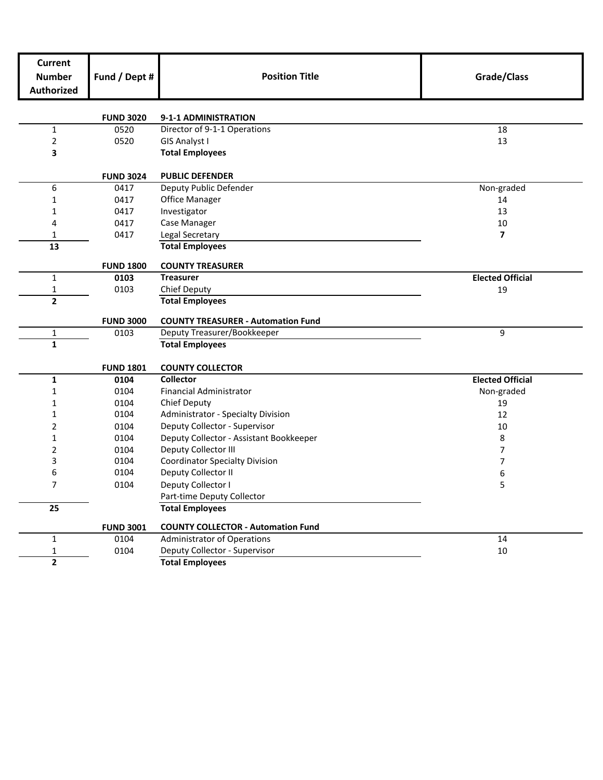| <b>Current</b><br><b>Number</b><br><b>Authorized</b> | Fund / Dept #    | <b>Position Title</b>                                | Grade/Class             |
|------------------------------------------------------|------------------|------------------------------------------------------|-------------------------|
|                                                      | <b>FUND 3020</b> | 9-1-1 ADMINISTRATION                                 |                         |
| $\mathbf{1}$                                         | 0520             | Director of 9-1-1 Operations                         | 18                      |
| 2                                                    | 0520             | GIS Analyst I                                        | 13                      |
| 3                                                    |                  | <b>Total Employees</b>                               |                         |
|                                                      | <b>FUND 3024</b> | <b>PUBLIC DEFENDER</b>                               |                         |
| 6                                                    | 0417             | Deputy Public Defender                               | Non-graded              |
| $\mathbf{1}$                                         | 0417             | <b>Office Manager</b>                                | 14                      |
| 1                                                    | 0417             | Investigator                                         | 13                      |
| 4                                                    | 0417             | Case Manager                                         | 10                      |
| 1                                                    | 0417             | Legal Secretary                                      | $\overline{ }$          |
| 13                                                   |                  | <b>Total Employees</b>                               |                         |
|                                                      | <b>FUND 1800</b> | <b>COUNTY TREASURER</b>                              |                         |
| $\mathbf{1}$                                         | 0103             | <b>Treasurer</b>                                     | <b>Elected Official</b> |
| 1                                                    | 0103             | Chief Deputy                                         | 19                      |
| $\overline{2}$                                       |                  | <b>Total Employees</b>                               |                         |
|                                                      | <b>FUND 3000</b> | <b>COUNTY TREASURER - Automation Fund</b>            |                         |
| $\mathbf 1$                                          | 0103             | Deputy Treasurer/Bookkeeper                          | 9                       |
| $\mathbf 1$                                          |                  | <b>Total Employees</b>                               |                         |
|                                                      | <b>FUND 1801</b> | <b>COUNTY COLLECTOR</b>                              |                         |
| $\mathbf 1$                                          | 0104             | Collector                                            | <b>Elected Official</b> |
| $\mathbf{1}$                                         | 0104             | <b>Financial Administrator</b>                       | Non-graded              |
| 1                                                    | 0104             | Chief Deputy                                         | 19                      |
| 1                                                    | 0104             | Administrator - Specialty Division                   | 12                      |
| 2                                                    | 0104             | Deputy Collector - Supervisor<br>10                  |                         |
| $\mathbf{1}$                                         | 0104             | Deputy Collector - Assistant Bookkeeper              | 8                       |
| 2                                                    | 0104             | Deputy Collector III                                 | 7                       |
| 3                                                    | 0104             | <b>Coordinator Specialty Division</b>                | 7                       |
| 6                                                    | 0104             | Deputy Collector II                                  | 6                       |
| 7                                                    | 0104             | Deputy Collector I                                   | 5                       |
| 25                                                   |                  | Part-time Deputy Collector<br><b>Total Employees</b> |                         |
|                                                      |                  |                                                      |                         |
|                                                      | <b>FUND 3001</b> | <b>COUNTY COLLECTOR - Automation Fund</b>            |                         |
| $\mathbf{1}$                                         | 0104             | Administrator of Operations                          | 14                      |
| $\mathbf 1$                                          | 0104             | Deputy Collector - Supervisor                        | 10                      |
| $\mathbf{2}$                                         |                  | <b>Total Employees</b>                               |                         |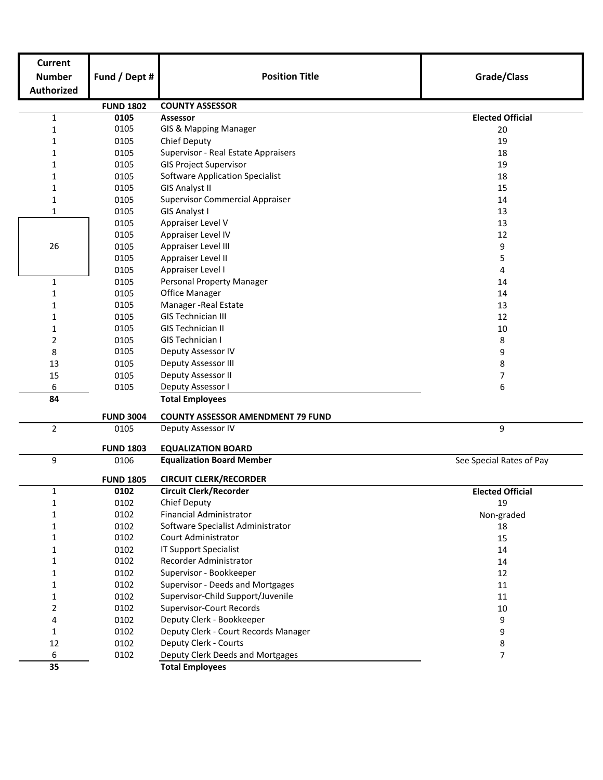| <b>Current</b>    |                  |                                          |                          |  |  |  |
|-------------------|------------------|------------------------------------------|--------------------------|--|--|--|
| <b>Number</b>     | Fund / Dept #    | <b>Position Title</b>                    | Grade/Class              |  |  |  |
| <b>Authorized</b> |                  |                                          |                          |  |  |  |
|                   | <b>FUND 1802</b> | <b>COUNTY ASSESSOR</b>                   |                          |  |  |  |
| $\mathbf 1$       | 0105             | <b>Assessor</b>                          | <b>Elected Official</b>  |  |  |  |
| $\mathbf{1}$      | 0105             | GIS & Mapping Manager                    | 20                       |  |  |  |
| 1                 | 0105             | Chief Deputy<br>19                       |                          |  |  |  |
| 1                 | 0105             | Supervisor - Real Estate Appraisers      | 18                       |  |  |  |
| 1                 | 0105             | <b>GIS Project Supervisor</b>            | 19                       |  |  |  |
| $\mathbf{1}$      | 0105             | <b>Software Application Specialist</b>   | 18                       |  |  |  |
| 1                 | 0105             | <b>GIS Analyst II</b>                    | 15                       |  |  |  |
| $\mathbf 1$       | 0105             | <b>Supervisor Commercial Appraiser</b>   | 14                       |  |  |  |
| $\mathbf{1}$      | 0105             | GIS Analyst I                            | 13                       |  |  |  |
|                   | 0105             | Appraiser Level V                        | 13                       |  |  |  |
|                   | 0105             | Appraiser Level IV                       | 12                       |  |  |  |
| 26                | 0105             | Appraiser Level III                      | 9                        |  |  |  |
|                   | 0105             | Appraiser Level II                       | 5                        |  |  |  |
|                   | 0105             | Appraiser Level I                        | 4                        |  |  |  |
| $\mathbf{1}$      | 0105             | Personal Property Manager                | 14                       |  |  |  |
| 1                 | 0105             | <b>Office Manager</b>                    | 14                       |  |  |  |
| 1                 | 0105             | Manager - Real Estate                    | 13                       |  |  |  |
| 1                 | 0105             | <b>GIS Technician III</b>                | 12                       |  |  |  |
| 1                 | 0105             | <b>GIS Technician II</b>                 | 10                       |  |  |  |
| 2                 | 0105             | GIS Technician I                         | 8                        |  |  |  |
| 8                 | 0105             | Deputy Assessor IV                       | 9                        |  |  |  |
| 13                | 0105             | Deputy Assessor III                      | 8                        |  |  |  |
| 15                | 0105             | Deputy Assessor II                       | 7                        |  |  |  |
| 6                 | 0105             | Deputy Assessor I                        | 6                        |  |  |  |
| 84                |                  | <b>Total Employees</b>                   |                          |  |  |  |
|                   | <b>FUND 3004</b> | <b>COUNTY ASSESSOR AMENDMENT 79 FUND</b> |                          |  |  |  |
| $\overline{2}$    | 0105             | Deputy Assessor IV<br>9                  |                          |  |  |  |
|                   | <b>FUND 1803</b> | <b>EQUALIZATION BOARD</b>                |                          |  |  |  |
| 9                 | 0106             | <b>Equalization Board Member</b>         | See Special Rates of Pay |  |  |  |
|                   | <b>FUND 1805</b> | <b>CIRCUIT CLERK/RECORDER</b>            |                          |  |  |  |
| 1                 | 0102             | <b>Circuit Clerk/Recorder</b>            | <b>Elected Official</b>  |  |  |  |
| 1                 | 0102             | <b>Chief Deputy</b>                      | 19                       |  |  |  |
| 1                 | 0102             | <b>Financial Administrator</b>           | Non-graded               |  |  |  |
| 1                 | 0102             | Software Specialist Administrator        | 18                       |  |  |  |
| 1                 | 0102             | <b>Court Administrator</b>               | 15                       |  |  |  |
| 1                 | 0102             | <b>IT Support Specialist</b>             | 14                       |  |  |  |
| $\mathbf{1}$      | 0102             | Recorder Administrator                   | 14                       |  |  |  |
| 1                 | 0102             | Supervisor - Bookkeeper                  | 12                       |  |  |  |
| 1                 | 0102             | Supervisor - Deeds and Mortgages         | 11                       |  |  |  |
| 1                 | 0102             | Supervisor-Child Support/Juvenile        | 11                       |  |  |  |
| $\overline{2}$    | 0102             | Supervisor-Court Records                 | $10\,$                   |  |  |  |
| 4                 | 0102             | Deputy Clerk - Bookkeeper                | 9                        |  |  |  |
| $\mathbf{1}$      | 0102             | Deputy Clerk - Court Records Manager     | 9                        |  |  |  |
| 12                | 0102             | Deputy Clerk - Courts                    | 8                        |  |  |  |
| 6                 | 0102             | Deputy Clerk Deeds and Mortgages         | 7                        |  |  |  |
| 35                |                  | <b>Total Employees</b>                   |                          |  |  |  |
|                   |                  |                                          |                          |  |  |  |